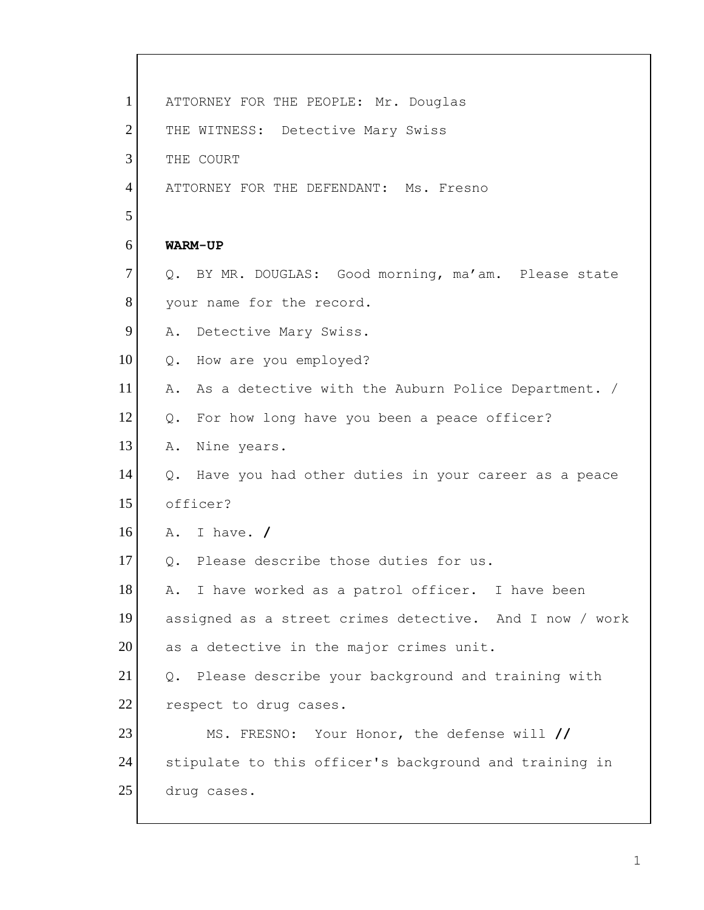| $\mathbf{1}$   | ATTORNEY FOR THE PEOPLE: Mr. Douglas                      |
|----------------|-----------------------------------------------------------|
| $\overline{2}$ | THE WITNESS: Detective Mary Swiss                         |
| 3              | THE COURT                                                 |
| $\overline{4}$ | ATTORNEY FOR THE DEFENDANT: Ms. Fresno                    |
| 5              |                                                           |
| 6              | WARM-UP                                                   |
| $\tau$         | Q. BY MR. DOUGLAS: Good morning, ma'am. Please state      |
| 8              | your name for the record.                                 |
| 9              | Detective Mary Swiss.<br>Α.                               |
| 10             | How are you employed?<br>$Q$ .                            |
| 11             | Α.<br>As a detective with the Auburn Police Department. / |
| 12             | Q. For how long have you been a peace officer?            |
| 13             | Nine years.<br>Α.                                         |
| 14             | Q. Have you had other duties in your career as a peace    |
| 15             | officer?                                                  |
| 16             | A. I have. $/$                                            |
| 17             | Please describe those duties for us.<br>$Q_{\bullet}$     |
| 18             | A. I have worked as a patrol officer. I have been         |
| 19             | assigned as a street crimes detective. And I now / work   |
| 20             | as a detective in the major crimes unit.                  |
| 21             | Q. Please describe your background and training with      |
| 22             | respect to drug cases.                                    |
| 23             | MS. FRESNO: Your Honor, the defense will //               |
| 24             | stipulate to this officer's background and training in    |
| 25             | drug cases.                                               |

r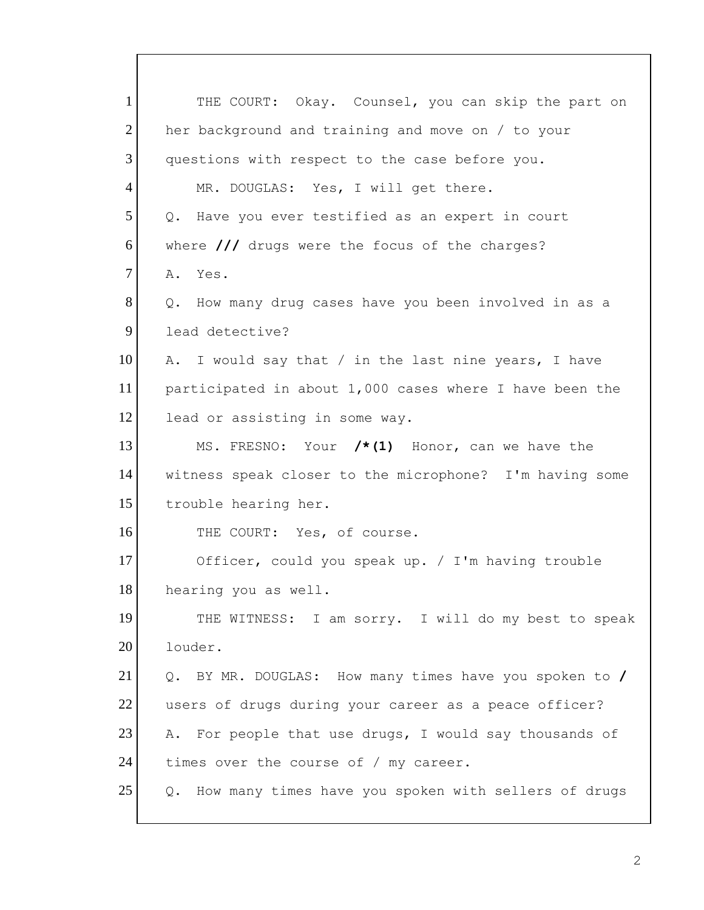1 THE COURT: Okay. Counsel, you can skip the part on 2 her background and training and move on / to your 3 questions with respect to the case before you. 4 MR. DOUGLAS: Yes, I will get there.  $5$  Q. Have you ever testified as an expert in court 6 where /// drugs were the focus of the charges? 7 A. Yes. 8 Q. How many drug cases have you been involved in as a 9 lead detective? 10 A. I would say that / in the last nine years, I have 11 participated in about 1,000 cases where I have been the 12 lead or assisting in some way. 13 MS. FRESNO: Your **/\*(1)** Honor, can we have the 14 witness speak closer to the microphone? I'm having some 15 trouble hearing her. 16 THE COURT: Yes, of course. 17 Officer, could you speak up. / I'm having trouble 18 hearing you as well. 19 THE WITNESS: I am sorry. I will do my best to speak 20 louder. 21 Q. BY MR. DOUGLAS: How many times have you spoken to **/** 22 users of drugs during your career as a peace officer? 23 A. For people that use drugs, I would say thousands of 24 times over the course of / my career. 25 | Q. How many times have you spoken with sellers of drugs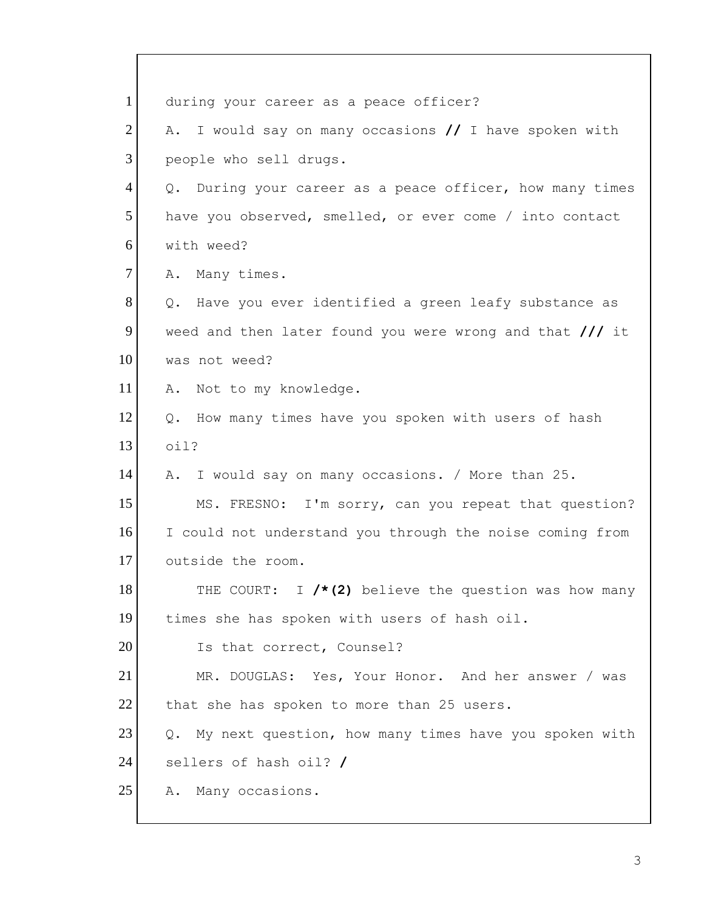| $\mathbf{1}$   | during your career as a peace officer?                    |
|----------------|-----------------------------------------------------------|
| $\overline{2}$ | A. I would say on many occasions // I have spoken with    |
| 3              | people who sell drugs.                                    |
| $\overline{4}$ | Q. During your career as a peace officer, how many times  |
| 5              | have you observed, smelled, or ever come / into contact   |
| 6              | with weed?                                                |
| $\tau$         | A. Many times.                                            |
| 8              | Q. Have you ever identified a green leafy substance as    |
| 9              | weed and then later found you were wrong and that $//$ it |
| 10             | was not weed?                                             |
| 11             | A. Not to my knowledge.                                   |
| 12             | Q. How many times have you spoken with users of hash      |
| 13             | oil?                                                      |
| 14             | A. I would say on many occasions. / More than 25.         |
| 15             | MS. FRESNO: I'm sorry, can you repeat that question?      |
| 16             | I could not understand you through the noise coming from  |
| 17             | outside the room.                                         |
| 18             | THE COURT: I /*(2) believe the question was how many      |
| 19             | times she has spoken with users of hash oil.              |
| 20             | Is that correct, Counsel?                                 |
| 21             | MR. DOUGLAS: Yes, Your Honor. And her answer / was        |
| 22             | that she has spoken to more than 25 users.                |
| 23             | Q. My next question, how many times have you spoken with  |
| 24             | sellers of hash oil? /                                    |
| 25             | Many occasions.<br>Α.                                     |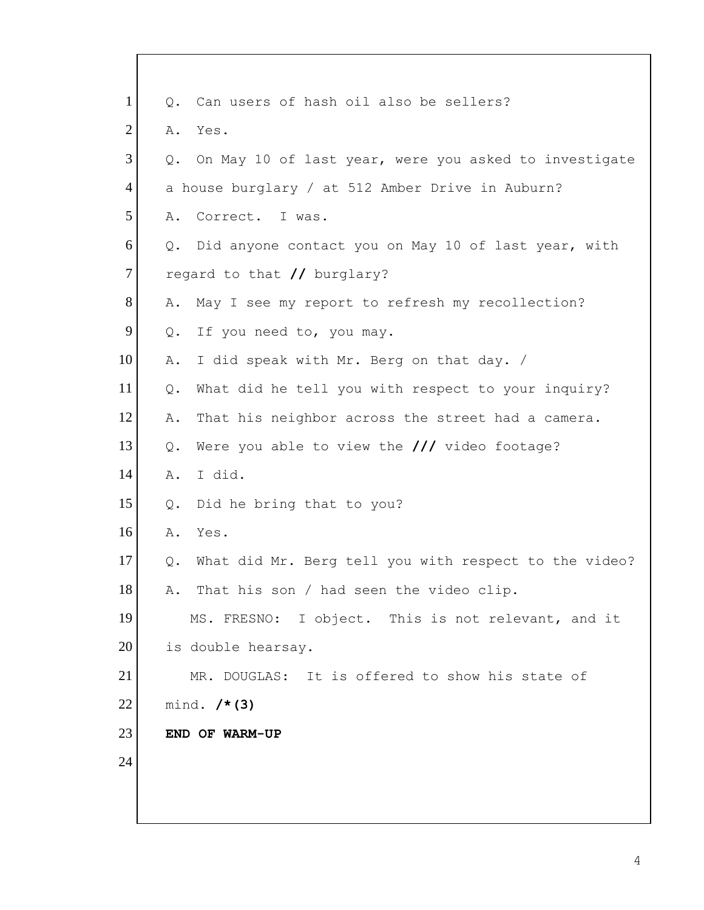| $\mathbf{1}$   | Q.    | Can users of hash oil also be sellers?                |
|----------------|-------|-------------------------------------------------------|
| $\overline{2}$ | Α.    | Yes.                                                  |
| 3              | Q.    | On May 10 of last year, were you asked to investigate |
| $\overline{4}$ |       | a house burglary / at 512 Amber Drive in Auburn?      |
| 5              | Α.    | Correct. I was.                                       |
| 6              | Q.    | Did anyone contact you on May 10 of last year, with   |
| 7              |       | regard to that // burglary?                           |
| 8              | Α.    | May I see my report to refresh my recollection?       |
| 9              | Q.    | If you need to, you may.                              |
| 10             | Α.    | I did speak with Mr. Berg on that day. /              |
| 11             | Q.    | What did he tell you with respect to your inquiry?    |
| 12             | Α.    | That his neighbor across the street had a camera.     |
| 13             | Q.    | Were you able to view the $//$ video footage?         |
| 14             | Α.    | I did.                                                |
| 15             | $Q$ . | Did he bring that to you?                             |
| 16             | Α.    | Yes.                                                  |
| 17             | Q.    | What did Mr. Berg tell you with respect to the video? |
| 18             | Α.    | That his son / had seen the video clip.               |
| 19             |       | MS. FRESNO: I object. This is not relevant, and it    |
| 20             |       | is double hearsay.                                    |
| 21             |       | MR. DOUGLAS: It is offered to show his state of       |
| 22             |       | mind. $/* (3)$                                        |
| 23             |       | END OF WARM-UP                                        |
| 24             |       |                                                       |
|                |       |                                                       |
|                |       |                                                       |

 $\mathbf{I}$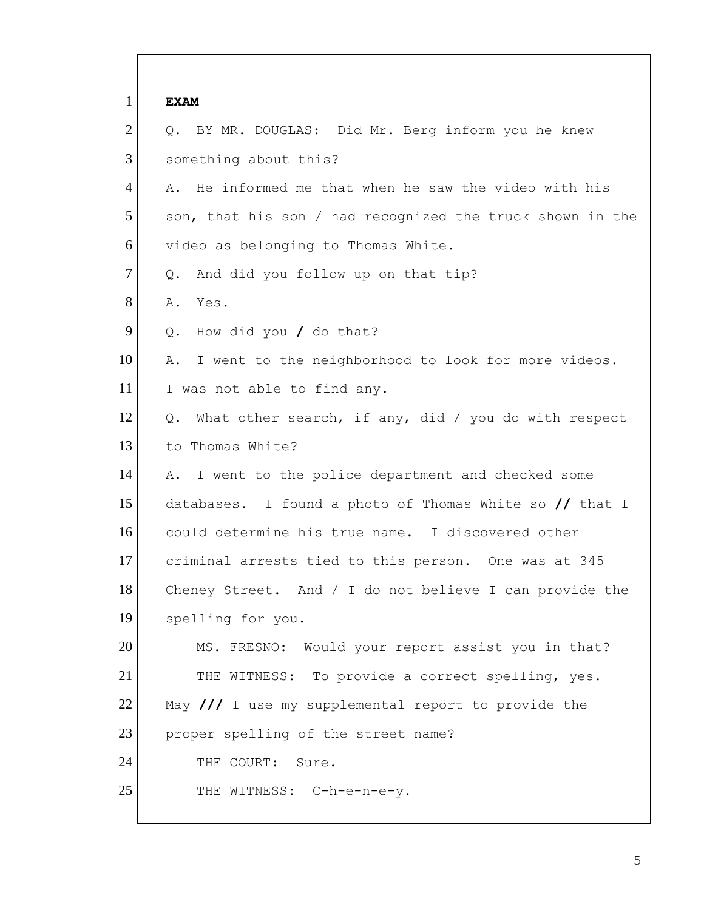1 **EXAM** 2 Q. BY MR. DOUGLAS: Did Mr. Berg inform you he knew 3 something about this? 4 | A. He informed me that when he saw the video with his 5 son, that his son / had recognized the truck shown in the 6 video as belonging to Thomas White. 7 Q. And did you follow up on that tip? 8 A. Yes. 9 Q. How did you / do that? 10 | A. I went to the neighborhood to look for more videos. 11 I was not able to find any. 12  $\vert$  Q. What other search, if any, did / you do with respect 13 to Thomas White? 14 A. I went to the police department and checked some 15 databases. I found a photo of Thomas White so **//** that I 16 could determine his true name. I discovered other 17 criminal arrests tied to this person. One was at 345 18 Cheney Street. And / I do not believe I can provide the 19 spelling for you. 20 MS. FRESNO: Would your report assist you in that? 21 THE WITNESS: To provide a correct spelling, yes. 22 May /// I use my supplemental report to provide the 23 proper spelling of the street name? 24 THE COURT: Sure. 25 THE WITNESS: C-h-e-n-e-y.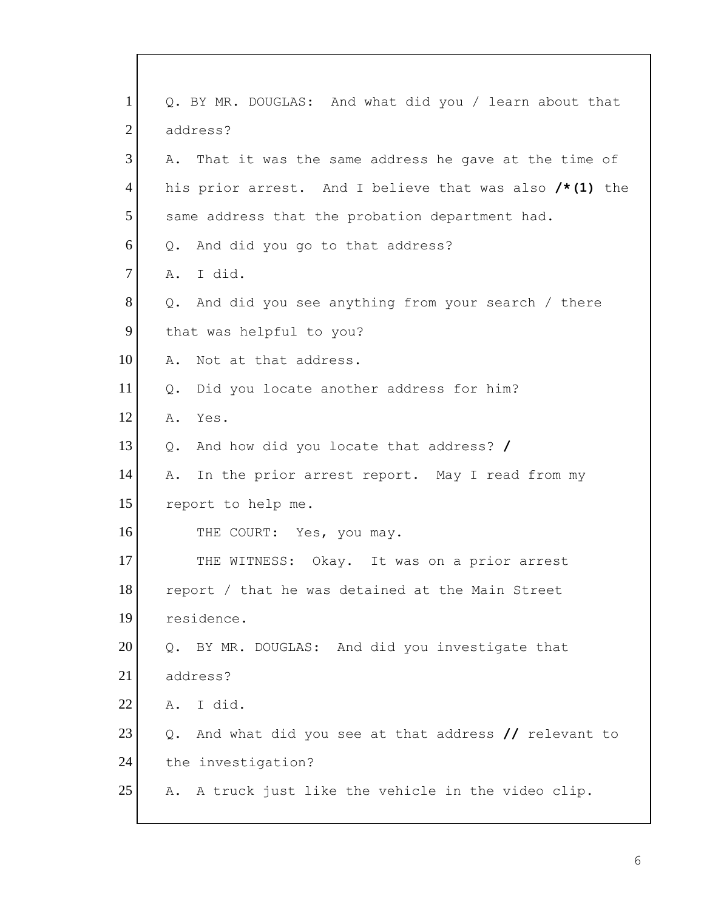| 1              | Q. BY MR. DOUGLAS: And what did you / learn about that     |
|----------------|------------------------------------------------------------|
| $\overline{2}$ | address?                                                   |
| 3              | A. That it was the same address he gave at the time of     |
| 4              | his prior arrest. And I believe that was also $/* (1)$ the |
| 5              | same address that the probation department had.            |
| 6              | And did you go to that address?<br>$Q_{\bullet}$           |
| $\overline{7}$ | A. I did.                                                  |
| 8              | And did you see anything from your search / there<br>Q.    |
| 9              | that was helpful to you?                                   |
| 10             | Not at that address.<br>Α.                                 |
| 11             | Did you locate another address for him?<br>Q.              |
| 12             | Yes.<br>Α.                                                 |
| 13             | And how did you locate that address? /<br>Q.               |
| 14             | In the prior arrest report. May I read from my<br>Α.       |
| 15             | report to help me.                                         |
| 16             | THE COURT: Yes, you may.                                   |
| 17             | THE WITNESS: Okay. It was on a prior arrest                |
| 18             | report / that he was detained at the Main Street           |
| 19             | residence.                                                 |
| 20             | BY MR. DOUGLAS: And did you investigate that<br>Q.         |
| 21             | address?                                                   |
| 22             | I did.<br>Α.                                               |
| 23             | And what did you see at that address // relevant to<br>Q.  |
| 24             | the investigation?                                         |
| 25             | A truck just like the vehicle in the video clip.<br>Α.     |
|                |                                                            |

 $\mathbf I$ 

I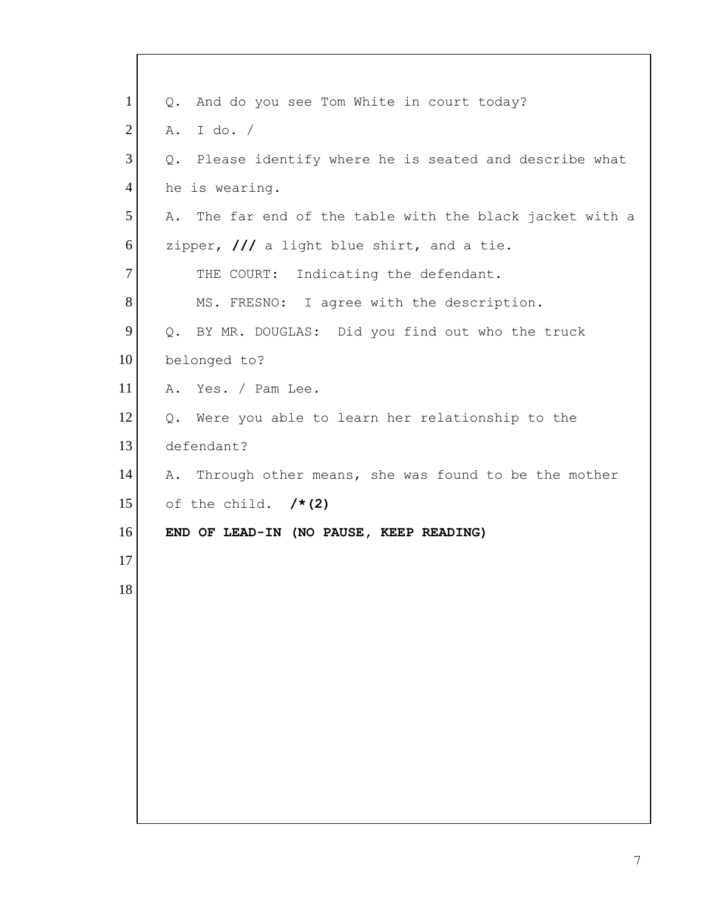| $\mathbf{1}$   | And do you see Tom White in court today?<br>Q.              |
|----------------|-------------------------------------------------------------|
| $\overline{2}$ | I do. $/$<br>Α.                                             |
| 3              | Please identify where he is seated and describe what<br>Q.  |
| $\overline{4}$ | he is wearing.                                              |
| 5              | The far end of the table with the black jacket with a<br>Α. |
| 6              | zipper, $\frac{1}{\sqrt{2}}$ a light blue shirt, and a tie. |
| 7              | THE COURT: Indicating the defendant.                        |
| 8              | MS. FRESNO: I agree with the description.                   |
| 9              | Q. BY MR. DOUGLAS: Did you find out who the truck           |
| 10             | belonged to?                                                |
| 11             | Yes. / Pam Lee.<br>Α.                                       |
| 12             | Were you able to learn her relationship to the<br>Q.        |
| 13             | defendant?                                                  |
| 14             | Through other means, she was found to be the mother<br>Α.   |
| 15             | of the child. $/*(2)$                                       |
| 16             | END OF LEAD-IN (NO PAUSE, KEEP READING)                     |
| 17             |                                                             |
| 18             |                                                             |
|                |                                                             |
|                |                                                             |
|                |                                                             |
|                |                                                             |
|                |                                                             |
|                |                                                             |
|                |                                                             |
|                |                                                             |

 $\mathbf{I}$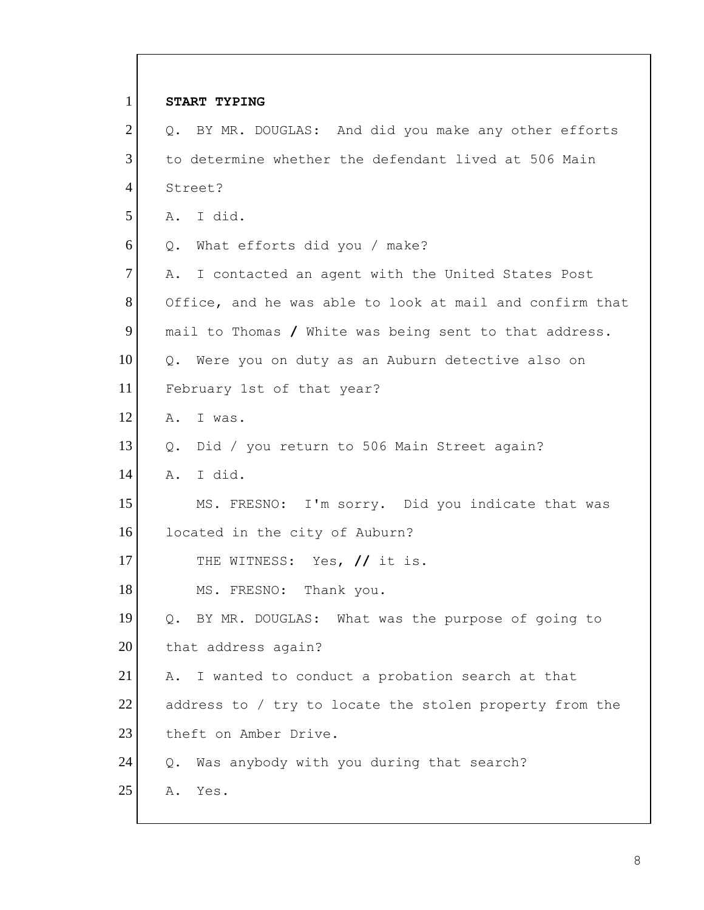| $\mathbf{1}$   | START TYPING                                              |
|----------------|-----------------------------------------------------------|
| $\overline{2}$ | Q. BY MR. DOUGLAS: And did you make any other efforts     |
| 3              | to determine whether the defendant lived at 506 Main      |
| $\overline{4}$ | Street?                                                   |
| 5              | A. I did.                                                 |
| 6              | Q. What efforts did you / make?                           |
| $\overline{7}$ | A. I contacted an agent with the United States Post       |
| 8              | Office, and he was able to look at mail and confirm that  |
| 9              | mail to Thomas / White was being sent to that address.    |
| 10             | Q. Were you on duty as an Auburn detective also on        |
| 11             | February 1st of that year?                                |
| 12             | A. I was.                                                 |
| 13             | Q. Did / you return to 506 Main Street again?             |
| 14             | I did.<br>Α.                                              |
| 15             | MS. FRESNO: I'm sorry. Did you indicate that was          |
| 16             | located in the city of Auburn?                            |
| 17             | THE WITNESS: Yes, // it is.                               |
| 18             | MS. FRESNO: Thank you.                                    |
| 19             | BY MR. DOUGLAS: What was the purpose of going to<br>Q.    |
| 20             | that address again?                                       |
| 21             | I wanted to conduct a probation search at that<br>Α.      |
| 22             | address to / try to locate the stolen property from the   |
| 23             | theft on Amber Drive.                                     |
| 24             | Was anybody with you during that search?<br>$Q_{\bullet}$ |
| 25             | Yes.<br>Α.                                                |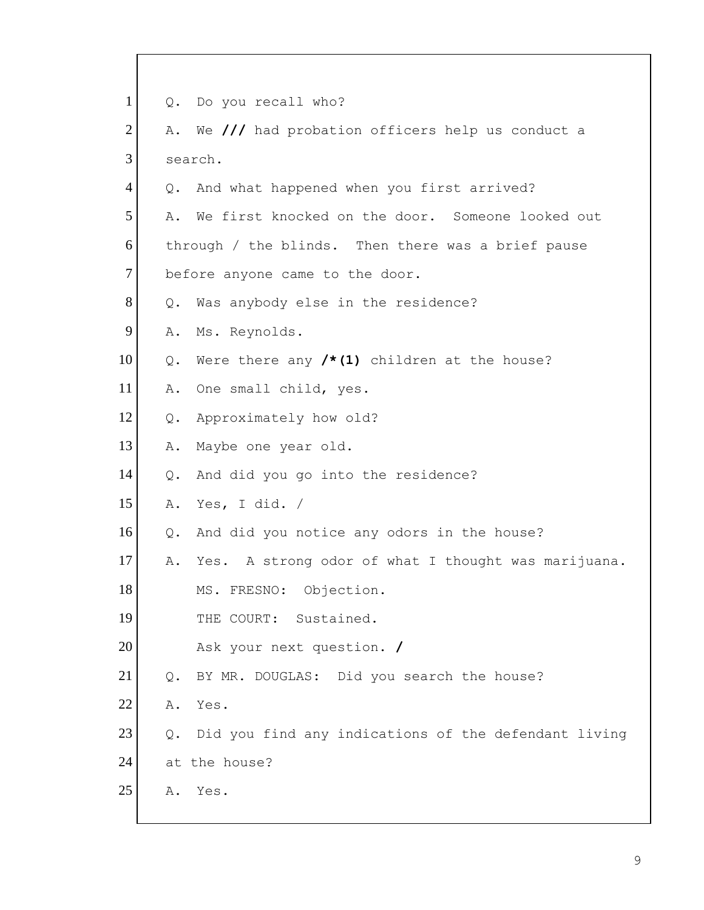1 Q. Do you recall who? 2 A. We /// had probation officers help us conduct a 3 search. 4 | Q. And what happened when you first arrived? 5 A. We first knocked on the door. Someone looked out 6 through / the blinds. Then there was a brief pause 7 before anyone came to the door. 8 Q. Was anybody else in the residence? 9 A. Ms. Reynolds. 10 Q. Were there any **/\*(1)** children at the house? 11 A. One small child, yes. 12 Q. Approximately how old? 13 A. Maybe one year old. 14 Q. And did you go into the residence? 15 A. Yes, I did. / 16 Q. And did you notice any odors in the house? 17 A. Yes. A strong odor of what I thought was marijuana. 18 MS. FRESNO: Objection. 19 THE COURT: Sustained. 20 Ask your next question. **/** 21 | Q. BY MR. DOUGLAS: Did you search the house? 22 A. Yes. 23 | Q. Did you find any indications of the defendant living 24 at the house? 25 A. Yes.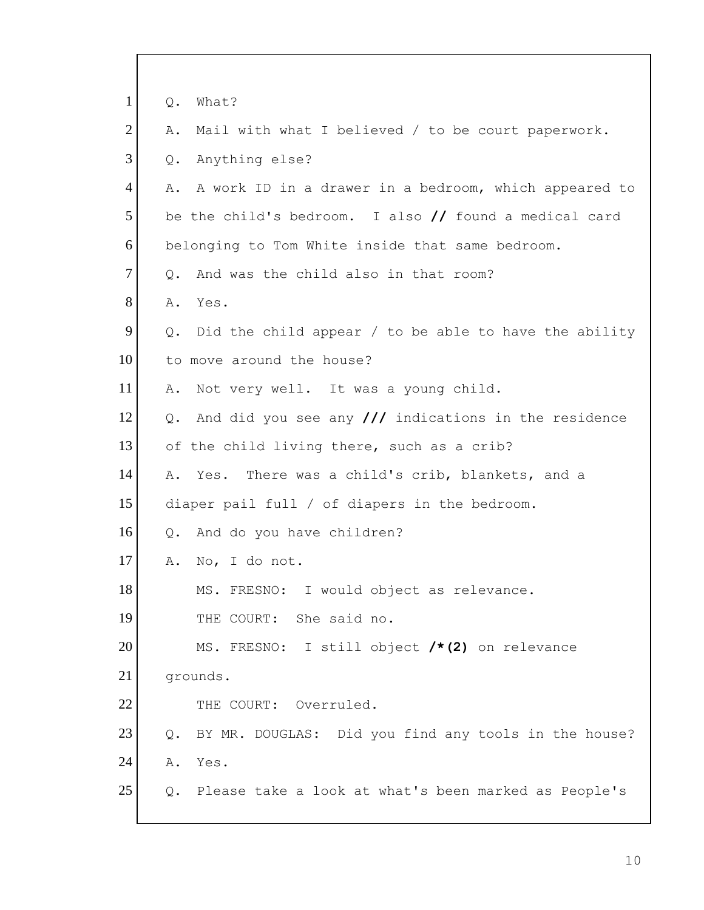| $\mathbf{1}$   | What?<br>$Q$ .                                                           |
|----------------|--------------------------------------------------------------------------|
| $\overline{2}$ | Mail with what I believed / to be court paperwork.<br>Α.                 |
| 3              | Anything else?<br>$Q$ .                                                  |
| $\overline{4}$ | A work ID in a drawer in a bedroom, which appeared to<br>Α.              |
| 5              | be the child's bedroom. I also $\frac{1}{\sqrt{2}}$ found a medical card |
| 6              | belonging to Tom White inside that same bedroom.                         |
| $\overline{7}$ | And was the child also in that room?<br>$Q$ .                            |
| 8              | Yes.<br>Α.                                                               |
| 9              | Did the child appear / to be able to have the ability<br>$Q$ .           |
| 10             | to move around the house?                                                |
| 11             | Not very well. It was a young child.<br>Α.                               |
| 12             | And did you see any $\frac{1}{1}$ indications in the residence<br>Q.     |
| 13             | of the child living there, such as a crib?                               |
| 14             | Yes. There was a child's crib, blankets, and a<br>Α.                     |
| 15             | diaper pail full / of diapers in the bedroom.                            |
| 16             | And do you have children?<br>$Q_{\bullet}$                               |
| 17             | No, I do not.<br>Α.                                                      |
| 18             | MS. FRESNO: I would object as relevance.                                 |
| 19             | THE COURT: She said no.                                                  |
| 20             | MS. FRESNO: I still object /*(2) on relevance                            |
| 21             | grounds.                                                                 |
| 22             | THE COURT: Overruled.                                                    |
| 23             | BY MR. DOUGLAS: Did you find any tools in the house?<br>Q.               |
| 24             | Yes.<br>Α.                                                               |
| 25             | Please take a look at what's been marked as People's<br>Q.               |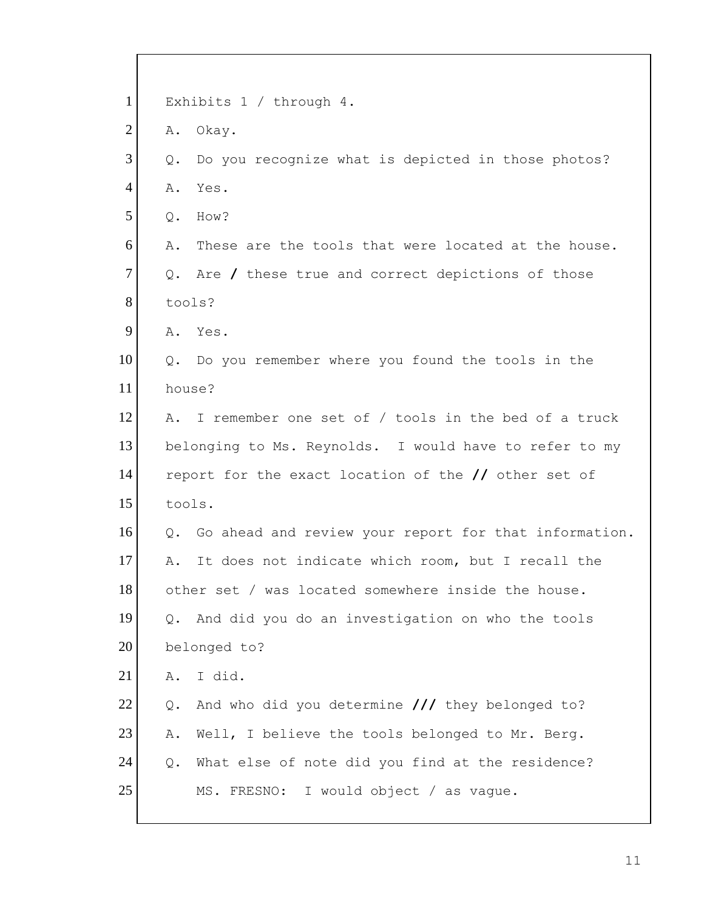| $\mathbf{1}$   | Exhibits $1 /$ through $4.$                               |
|----------------|-----------------------------------------------------------|
| $\overline{2}$ | Okay.<br>Α.                                               |
| 3              | Do you recognize what is depicted in those photos?<br>Q.  |
| $\overline{4}$ | Α.<br>Yes.                                                |
| 5              | How?<br>Q.                                                |
| 6              | These are the tools that were located at the house.<br>Α. |
| $\tau$         | Q. Are / these true and correct depictions of those       |
| 8              | tools?                                                    |
| 9              | A. Yes.                                                   |
| 10             | Q. Do you remember where you found the tools in the       |
| 11             | house?                                                    |
| 12             | I remember one set of / tools in the bed of a truck<br>Α. |
| 13             | belonging to Ms. Reynolds. I would have to refer to my    |
| 14             | report for the exact location of the // other set of      |
| 15             | tools.                                                    |
| 16             | Q. Go ahead and review your report for that information.  |
| 17             | It does not indicate which room, but I recall the<br>Α.   |
| 18             | other set / was located somewhere inside the house.       |
| 19             | And did you do an investigation on who the tools<br>Q.    |
| 20             | belonged to?                                              |
| 21             | I did.<br>Α.                                              |
| 22             | And who did you determine /// they belonged to?<br>Q.     |
| 23             | Well, I believe the tools belonged to Mr. Berg.<br>Α.     |
| 24             | What else of note did you find at the residence?<br>Q.    |
| 25             | MS. FRESNO: I would object / as vague.                    |
|                |                                                           |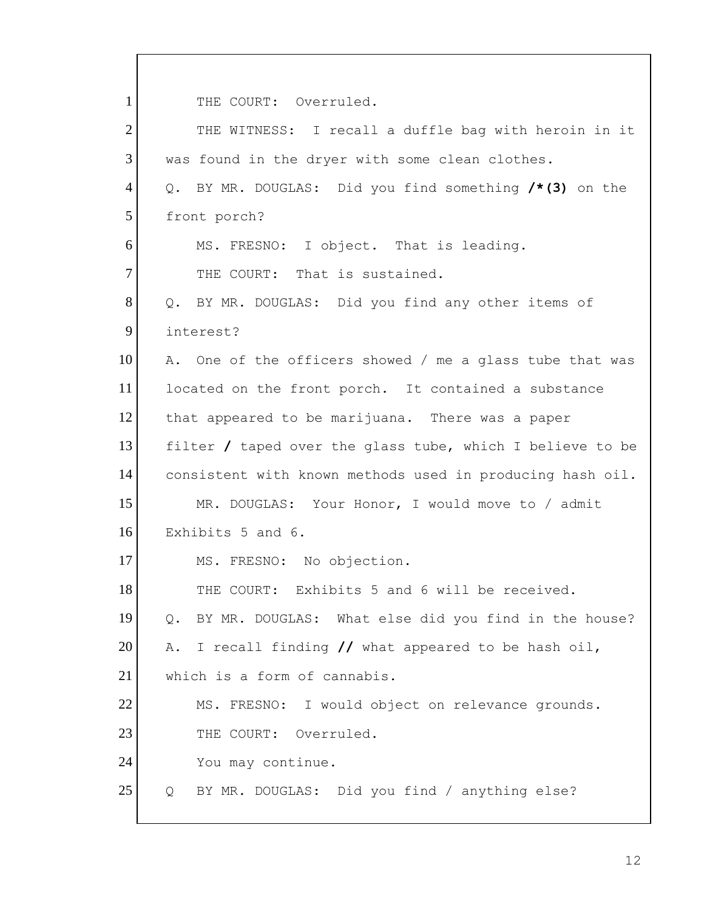1 THE COURT: Overruled.

| $\overline{2}$ | THE WITNESS: I recall a duffle bag with heroin in it       |
|----------------|------------------------------------------------------------|
| 3              | was found in the dryer with some clean clothes.            |
| $\overline{4}$ | BY MR. DOUGLAS: Did you find something /*(3) on the<br>Q.  |
| 5              | front porch?                                               |
| 6              | MS. FRESNO: I object. That is leading.                     |
| $\overline{7}$ | THE COURT: That is sustained.                              |
| 8              | BY MR. DOUGLAS: Did you find any other items of<br>Q.      |
| 9              | interest?                                                  |
| 10             | A. One of the officers showed / me a glass tube that was   |
| 11             | located on the front porch. It contained a substance       |
| 12             | that appeared to be marijuana. There was a paper           |
| 13             | filter / taped over the glass tube, which I believe to be  |
| 14             | consistent with known methods used in producing hash oil.  |
| 15             | MR. DOUGLAS: Your Honor, I would move to / admit           |
| 16             | Exhibits 5 and 6.                                          |
| 17             | MS. FRESNO: No objection.                                  |
| 18             | THE COURT: Exhibits 5 and 6 will be received.              |
| 19             | BY MR. DOUGLAS: What else did you find in the house?<br>Q. |
| 20             | A. I recall finding // what appeared to be hash oil,       |
| 21             | which is a form of cannabis.                               |
| 22             | MS. FRESNO: I would object on relevance grounds.           |
| 23             | Overruled.<br>THE COURT:                                   |
| 24             | You may continue.                                          |
| 25             | BY MR. DOUGLAS: Did you find / anything else?<br>Q         |
|                |                                                            |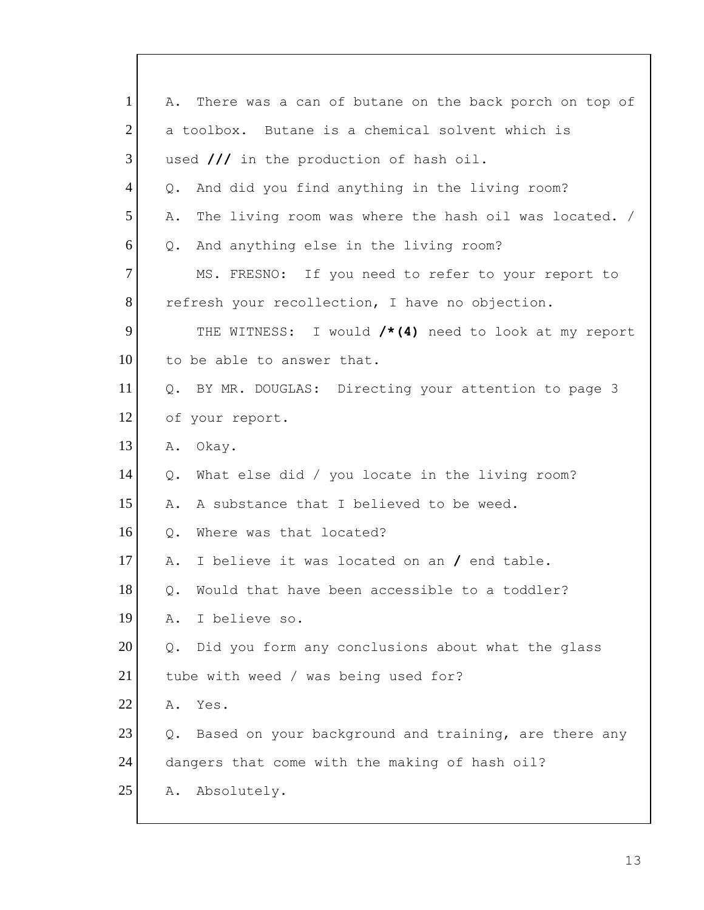| $\mathbf{1}$   | There was a can of butane on the back porch on top of<br>Α. |
|----------------|-------------------------------------------------------------|
| $\overline{2}$ | a toolbox. Butane is a chemical solvent which is            |
| 3              | used /// in the production of hash oil.                     |
| $\overline{4}$ | And did you find anything in the living room?<br>Q.         |
| 5              | The living room was where the hash oil was located. /<br>Α. |
| 6              | And anything else in the living room?<br>$Q_{\bullet}$      |
| $\overline{7}$ | MS. FRESNO: If you need to refer to your report to          |
| 8              | refresh your recollection, I have no objection.             |
| 9              | THE WITNESS: I would $/*(4)$ need to look at my report      |
| 10             | to be able to answer that.                                  |
| 11             | Q. BY MR. DOUGLAS: Directing your attention to page 3       |
| 12             | of your report.                                             |
| 13             | Okay.<br>Α.                                                 |
| 14             | What else did / you locate in the living room?<br>Q.        |
| 15             | A substance that I believed to be weed.<br>Α.               |
| 16             | Where was that located?<br>Q.                               |
| 17             | I believe it was located on an / end table.<br>Α.           |
| 18             | Q. Would that have been accessible to a toddler?            |
| 19             | I believe so.<br>Α.                                         |
| 20             | Did you form any conclusions about what the glass<br>Q.     |
| 21             | tube with weed / was being used for?                        |
| 22             | Yes.<br>Α.                                                  |
| 23             | Based on your background and training, are there any<br>Q.  |
| 24             | dangers that come with the making of hash oil?              |
| 25             | Absolutely.<br>Α.                                           |
|                |                                                             |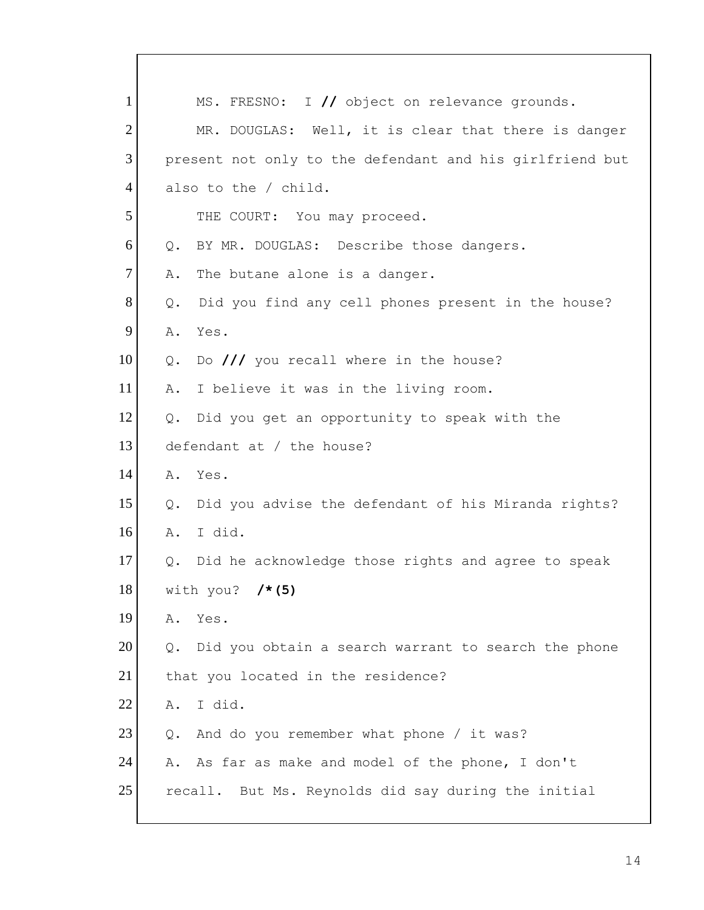| $\mathbf{1}$   | MS. FRESNO: I // object on relevance grounds.                        |
|----------------|----------------------------------------------------------------------|
| $\overline{2}$ | MR. DOUGLAS: Well, it is clear that there is danger                  |
| 3              | present not only to the defendant and his girlfriend but             |
| $\overline{4}$ | also to the / child.                                                 |
| 5              | THE COURT: You may proceed.                                          |
| 6              | BY MR. DOUGLAS: Describe those dangers.<br>$Q$ .                     |
| $\tau$         | The butane alone is a danger.<br>Α.                                  |
| 8              | Did you find any cell phones present in the house?<br>Q.             |
| 9              | Α.<br>Yes.                                                           |
| 10             | Do $//$ you recall where in the house?<br>Q.                         |
| 11             | I believe it was in the living room.<br>Α.                           |
| 12             | Did you get an opportunity to speak with the<br>Q.                   |
| 13             | defendant at / the house?                                            |
| 14             | Α.<br>Yes.                                                           |
| 15             | Did you advise the defendant of his Miranda rights?<br>Q.            |
| 16             | I did.<br>Α.                                                         |
| 17             | Did he acknowledge those rights and agree to speak<br>Q.             |
| 18             | with you? $/* (5)$                                                   |
| 19             | Yes.<br>Α.                                                           |
| 20             | Did you obtain a search warrant to search the phone<br>$Q_{\bullet}$ |
| 21             | that you located in the residence?                                   |
| 22             | I did.<br>Α.                                                         |
| 23             | And do you remember what phone / it was?<br>Q.                       |
| 24             | A. As far as make and model of the phone, I don't                    |
| 25             | recall. But Ms. Reynolds did say during the initial                  |
|                |                                                                      |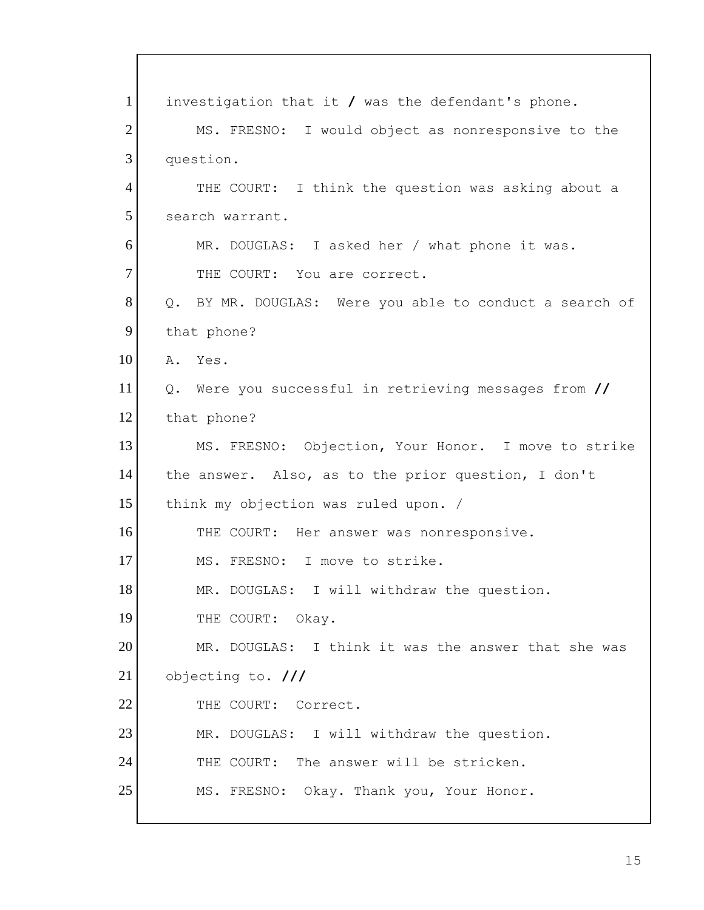1 investigation that it **/** was the defendant's phone. 2 MS. FRESNO: I would object as nonresponsive to the 3 question. 4 THE COURT: I think the question was asking about a 5 search warrant. 6 MR. DOUGLAS: I asked her / what phone it was. 7 THE COURT: You are correct. 8 | Q. BY MR. DOUGLAS: Were you able to conduct a search of 9 that phone? 10 A. Yes. 11 Q. Were you successful in retrieving messages from **//** 12 that phone? 13 MS. FRESNO: Objection, Your Honor. I move to strike 14 the answer. Also, as to the prior question, I don't 15 think my objection was ruled upon. / 16 THE COURT: Her answer was nonresponsive. 17 MS. FRESNO: I move to strike. 18 MR. DOUGLAS: I will withdraw the question. 19 THE COURT: Okay. 20 MR. DOUGLAS: I think it was the answer that she was 21 objecting to. **///**  22 THE COURT: Correct. 23 MR. DOUGLAS: I will withdraw the question. 24 THE COURT: The answer will be stricken. 25 MS. FRESNO: Okay. Thank you, Your Honor.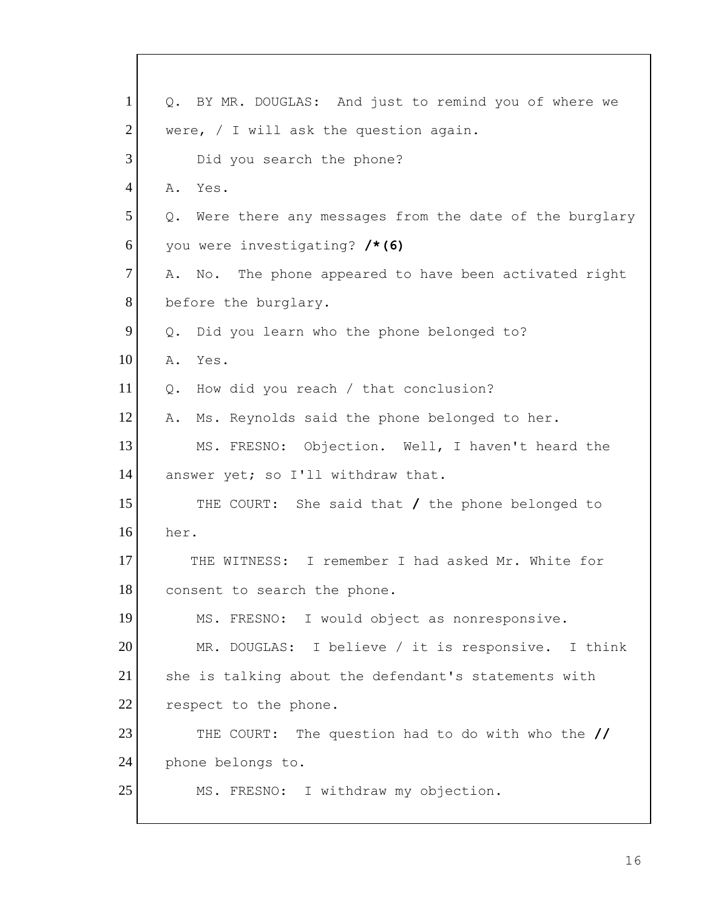| $\mathbf{1}$   | Q. BY MR. DOUGLAS: And just to remind you of where we       |
|----------------|-------------------------------------------------------------|
| $\overline{2}$ | were, $/$ I will ask the question again.                    |
| 3              | Did you search the phone?                                   |
| $\overline{4}$ | Yes.<br>Α.                                                  |
| 5              | Were there any messages from the date of the burglary<br>Q. |
| 6              | you were investigating? /*(6)                               |
| 7              | No. The phone appeared to have been activated right<br>Α.   |
| 8              | before the burglary.                                        |
| 9              | Did you learn who the phone belonged to?<br>Q.              |
| 10             | Α.<br>Yes.                                                  |
| 11             | How did you reach / that conclusion?<br>Q.                  |
| 12             | Ms. Reynolds said the phone belonged to her.<br>Α.          |
| 13             | MS. FRESNO: Objection. Well, I haven't heard the            |
| 14             | answer yet; so I'll withdraw that.                          |
| 15             | THE COURT: She said that / the phone belonged to            |
| 16             | her.                                                        |
| 17             | THE WITNESS: I remember I had asked Mr. White for           |
| 18             | consent to search the phone.                                |
| 19             | MS. FRESNO: I would object as nonresponsive.                |
| 20             | MR. DOUGLAS: I believe / it is responsive.<br>I think       |
| 21             | she is talking about the defendant's statements with        |
| 22             | respect to the phone.                                       |
| 23             | The question had to do with who the //<br>THE COURT:        |
| 24             | phone belongs to.                                           |
| 25             | MS. FRESNO: I withdraw my objection.                        |
|                |                                                             |

 $\overline{\phantom{a}}$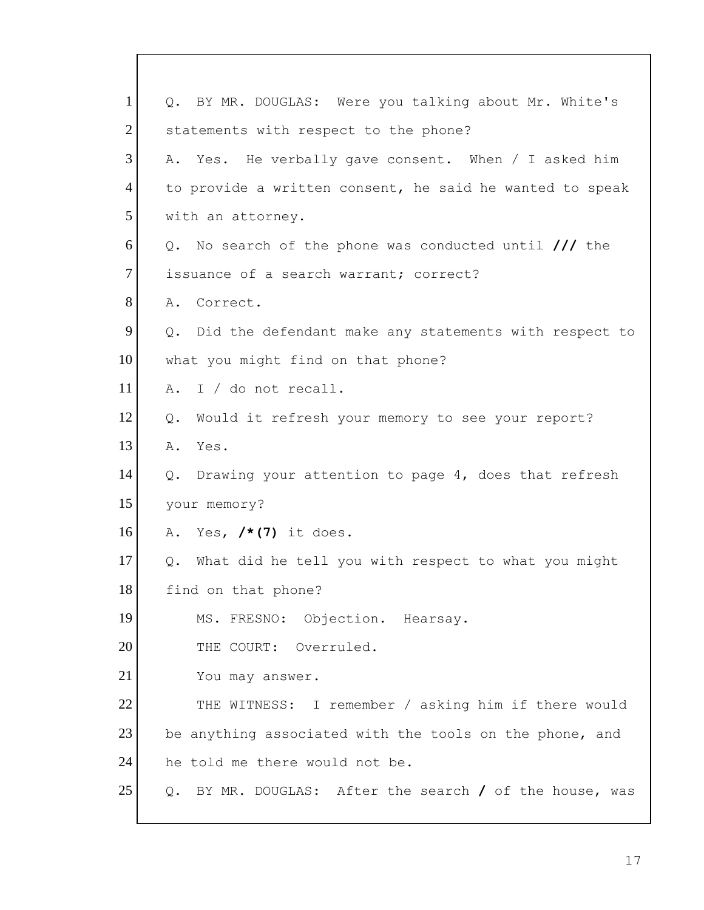| $\mathbf{1}$   | BY MR. DOUGLAS: Were you talking about Mr. White's<br>$Q_{\bullet}$ |  |
|----------------|---------------------------------------------------------------------|--|
| $\overline{2}$ | statements with respect to the phone?                               |  |
| 3              | A. Yes. He verbally gave consent. When / I asked him                |  |
| $\overline{4}$ | to provide a written consent, he said he wanted to speak            |  |
| 5              | with an attorney.                                                   |  |
| 6              | Q. No search of the phone was conducted until /// the               |  |
| 7              | issuance of a search warrant; correct?                              |  |
| 8              | A. Correct.                                                         |  |
| 9              | Q. Did the defendant make any statements with respect to            |  |
| 10             | what you might find on that phone?                                  |  |
| 11             | A. I / do not recall.                                               |  |
| 12             | Would it refresh your memory to see your report?<br>Q.              |  |
| 13             | A. Yes.                                                             |  |
| 14             | Q.<br>Drawing your attention to page 4, does that refresh           |  |
| 15             | your memory?                                                        |  |
| 16             | A. Yes, $/\star$ (7) it does.                                       |  |
| 17             | Q. What did he tell you with respect to what you might              |  |
| 18             | find on that phone?                                                 |  |
| 19             | MS. FRESNO: Objection. Hearsay.                                     |  |
| 20             | THE COURT: Overruled.                                               |  |
| 21             | You may answer.                                                     |  |
| 22             | THE WITNESS: I remember / asking him if there would                 |  |
| 23             | be anything associated with the tools on the phone, and             |  |
| 24             | he told me there would not be.                                      |  |
| 25             | BY MR. DOUGLAS: After the search $/$ of the house, was<br>Q.        |  |

 $\mathsf{I}$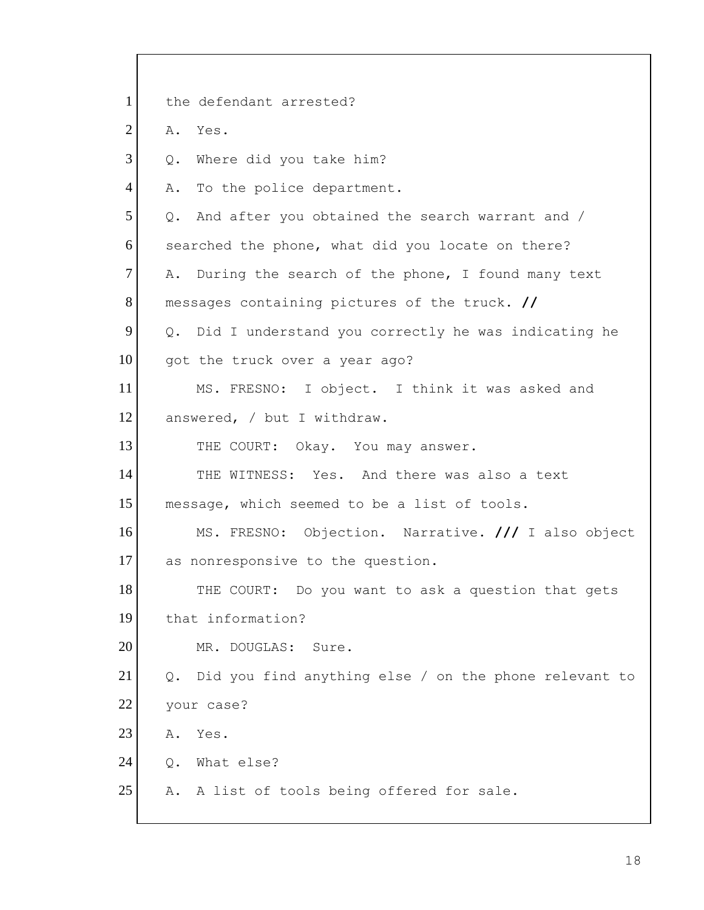| $\mathbf{1}$   | the defendant arrested?                                     |
|----------------|-------------------------------------------------------------|
| $\overline{2}$ | Yes.<br>Α.                                                  |
| 3              | Where did you take him?<br>Q.                               |
| $\overline{4}$ | To the police department.<br>Α.                             |
| 5              | Q. And after you obtained the search warrant and /          |
| 6              | searched the phone, what did you locate on there?           |
| $\tau$         | During the search of the phone, I found many text<br>Α.     |
| 8              | messages containing pictures of the truck. //               |
| 9              | Q. Did I understand you correctly he was indicating he      |
| 10             | got the truck over a year ago?                              |
| 11             | MS. FRESNO: I object. I think it was asked and              |
| 12             | answered, / but I withdraw.                                 |
| 13             | THE COURT: Okay. You may answer.                            |
| 14             | THE WITNESS: Yes. And there was also a text                 |
| 15             | message, which seemed to be a list of tools.                |
| 16             | MS. FRESNO: Objection. Narrative. /// I also object         |
| 17             | as nonresponsive to the question.                           |
| 18             | THE COURT: Do you want to ask a question that gets          |
| 19             | that information?                                           |
| 20             | MR. DOUGLAS:<br>Sure.                                       |
| 21             | Did you find anything else / on the phone relevant to<br>Q. |
| 22             | your case?                                                  |
| 23             | Yes.<br>Α.                                                  |
| 24             | What else?<br>Q.                                            |
| 25             | A. A list of tools being offered for sale.                  |
|                |                                                             |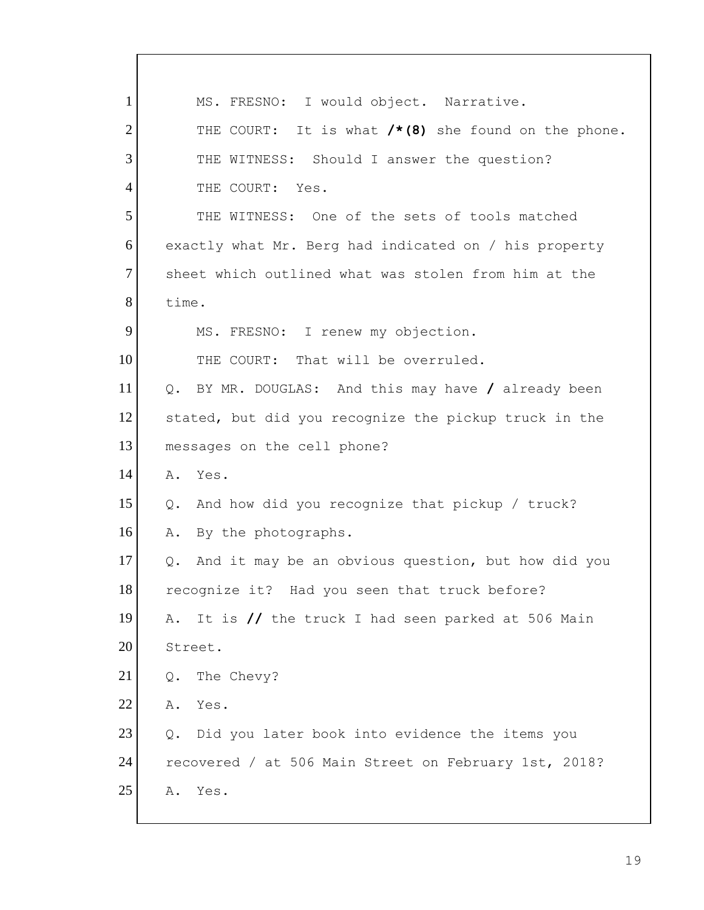| $\mathbf{1}$   | MS. FRESNO: I would object. Narrative.                            |
|----------------|-------------------------------------------------------------------|
| $\overline{2}$ | THE COURT: It is what $/*$ (8) she found on the phone.            |
| 3              | THE WITNESS: Should I answer the question?                        |
| 4              | THE COURT: Yes.                                                   |
| 5              | THE WITNESS: One of the sets of tools matched                     |
| 6              | exactly what Mr. Berg had indicated on / his property             |
| $\tau$         | sheet which outlined what was stolen from him at the              |
| 8              | time.                                                             |
| 9              | MS. FRESNO: I renew my objection.                                 |
| 10             | That will be overruled.<br>THE COURT:                             |
| 11             | $Q_{\bullet}$<br>BY MR. DOUGLAS: And this may have / already been |
| 12             | stated, but did you recognize the pickup truck in the             |
| 13             | messages on the cell phone?                                       |
| 14             | Α.<br>Yes.                                                        |
| 15             | And how did you recognize that pickup / truck?<br>Q.              |
| 16             | By the photographs.<br>Α.                                         |
| 17             | And it may be an obvious question, but how did you<br>Q.          |
| 18             | recognize it? Had you seen that truck before?                     |
| 19             | It is // the truck I had seen parked at 506 Main<br>Α.            |
| 20             | Street.                                                           |
| 21             | The Chevy?<br>Q.                                                  |
| 22             | Yes.<br>Α.                                                        |
| 23             | Did you later book into evidence the items you<br>$Q$ .           |
| 24             | recovered / at 506 Main Street on February 1st, 2018?             |
| 25             | Yes.<br>Α.                                                        |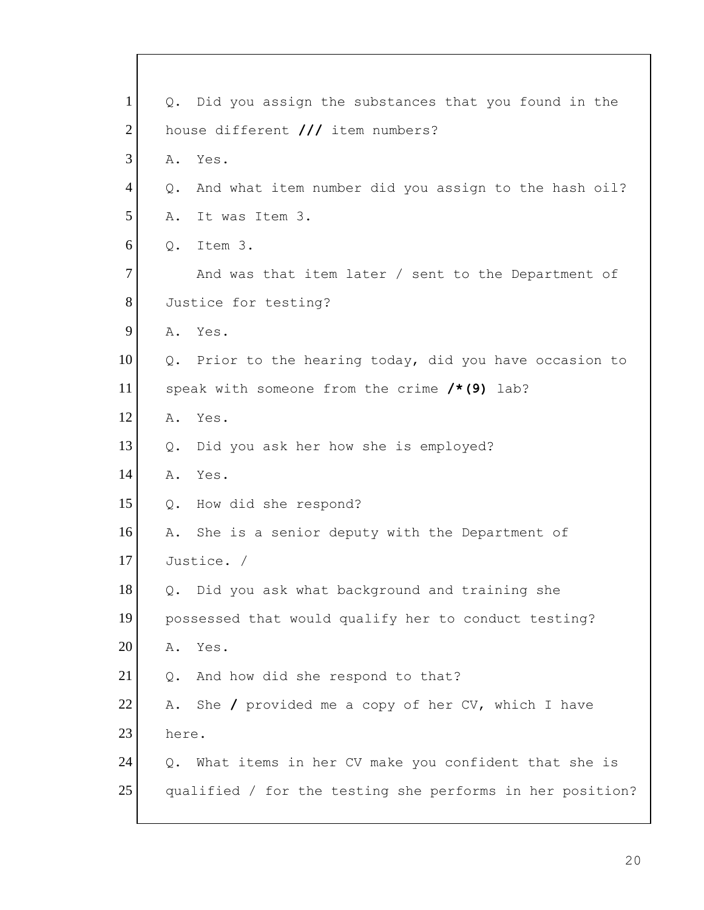| $\mathbf{1}$   |                                   | Q. Did you assign the substances that you found in the    |  |
|----------------|-----------------------------------|-----------------------------------------------------------|--|
| $\overline{2}$ | house different /// item numbers? |                                                           |  |
| 3              | Α.                                | Yes.                                                      |  |
| $\overline{4}$ | Q.                                | And what item number did you assign to the hash oil?      |  |
| 5              | Α.                                | It was Item 3.                                            |  |
| 6              | $Q$ .                             | Item 3.                                                   |  |
| $\overline{7}$ |                                   | And was that item later / sent to the Department of       |  |
| 8              |                                   | Justice for testing?                                      |  |
| 9              |                                   | A. Yes.                                                   |  |
| 10             |                                   | Q. Prior to the hearing today, did you have occasion to   |  |
| 11             |                                   | speak with someone from the crime $/* (9)$ lab?           |  |
| 12             | Α.                                | Yes.                                                      |  |
| 13             | Q.                                | Did you ask her how she is employed?                      |  |
| 14             | Α.                                | Yes.                                                      |  |
| 15             | Q.                                | How did she respond?                                      |  |
| 16             | Α.                                | She is a senior deputy with the Department of             |  |
| 17             |                                   | Justice. /                                                |  |
| 18             |                                   | Q. Did you ask what background and training she           |  |
| 19             |                                   | possessed that would qualify her to conduct testing?      |  |
| 20             | Α.                                | Yes.                                                      |  |
| 21             | Q.                                | And how did she respond to that?                          |  |
| 22             | Α.                                | She $\prime$ provided me a copy of her CV, which I have   |  |
| 23             | here.                             |                                                           |  |
| 24             | Q.                                | What items in her CV make you confident that she is       |  |
| 25             |                                   | qualified / for the testing she performs in her position? |  |
|                |                                   |                                                           |  |